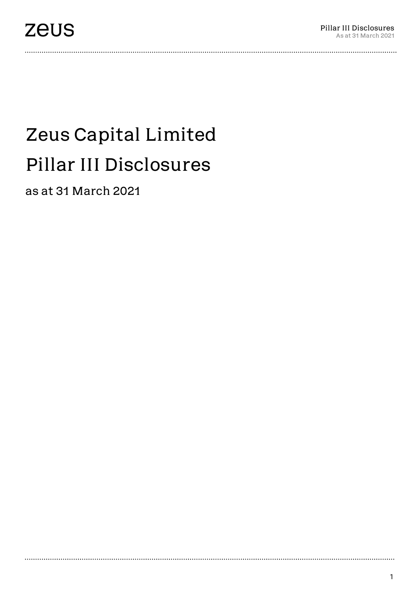..................................

# Zeus Capital Limited Pillar III Disclosures

as at 31 March 2021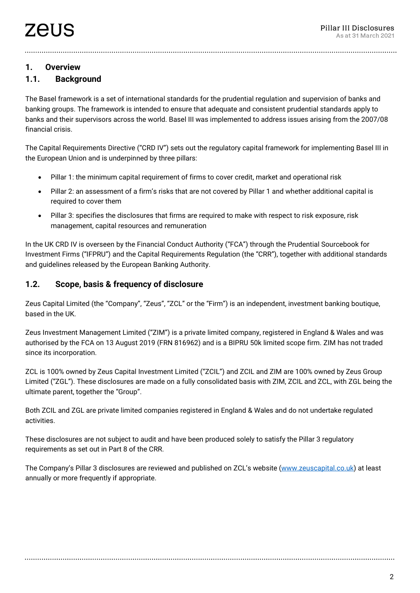#### **1. Overview**

# **1.1. Background**

The Basel framework is a set of international standards for the prudential regulation and supervision of banks and banking groups. The framework is intended to ensure that adequate and consistent prudential standards apply to banks and their supervisors across the world. Basel III was implemented to address issues arising from the 2007/08 financial crisis.

The Capital Requirements Directive ("CRD IV") sets out the regulatory capital framework for implementing Basel III in the European Union and is underpinned by three pillars:

- Pillar 1: the minimum capital requirement of firms to cover credit, market and operational risk
- Pillar 2: an assessment of a firm's risks that are not covered by Pillar 1 and whether additional capital is required to cover them
- Pillar 3: specifies the disclosures that firms are required to make with respect to risk exposure, risk management, capital resources and remuneration

In the UK CRD IV is overseen by the Financial Conduct Authority ("FCA") through the Prudential Sourcebook for Investment Firms ("IFPRU") and the Capital Requirements Regulation (the "CRR"), together with additional standards and guidelines released by the European Banking Authority.

#### **1.2. Scope, basis & frequency of disclosure**

Zeus Capital Limited (the "Company", "Zeus", "ZCL" or the "Firm") is an independent, investment banking boutique, based in the UK.

Zeus Investment Management Limited ("ZIM") is a private limited company, registered in England & Wales and was authorised by the FCA on 13 August 2019 (FRN 816962) and is a BIPRU 50k limited scope firm. ZIM has not traded since its incorporation.

ZCL is 100% owned by Zeus Capital Investment Limited ("ZCIL") and ZCIL and ZIM are 100% owned by Zeus Group Limited ("ZGL"). These disclosures are made on a fully consolidated basis with ZIM, ZCIL and ZCL, with ZGL being the ultimate parent, together the "Group".

Both ZCIL and ZGL are private limited companies registered in England & Wales and do not undertake regulated activities.

These disclosures are not subject to audit and have been produced solely to satisfy the Pillar 3 regulatory requirements as set out in Part 8 of the CRR.

The Company's Pillar 3 disclosures are reviewed and published on ZCL's website [\(www.zeuscapital.co.uk\)](http://www.zeuscapital.co.uk/) at least annually or more frequently if appropriate.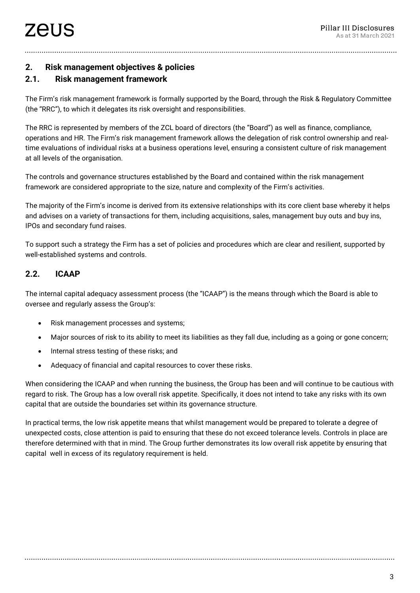# **2. Risk management objectives & policies**

# **2.1. Risk management framework**

The Firm's risk management framework is formally supported by the Board, through the Risk & Regulatory Committee (the "RRC"), to which it delegates its risk oversight and responsibilities.

The RRC is represented by members of the ZCL board of directors (the "Board") as well as finance, compliance, operations and HR. The Firm's risk management framework allows the delegation of risk control ownership and realtime evaluations of individual risks at a business operations level, ensuring a consistent culture of risk management at all levels of the organisation.

The controls and governance structures established by the Board and contained within the risk management framework are considered appropriate to the size, nature and complexity of the Firm's activities.

The majority of the Firm's income is derived from its extensive relationships with its core client base whereby it helps and advises on a variety of transactions for them, including acquisitions, sales, management buy outs and buy ins, IPOs and secondary fund raises.

To support such a strategy the Firm has a set of policies and procedures which are clear and resilient, supported by well-established systems and controls.

## **2.2. ICAAP**

The internal capital adequacy assessment process (the "ICAAP") is the means through which the Board is able to oversee and regularly assess the Group's:

- Risk management processes and systems;
- Major sources of risk to its ability to meet its liabilities as they fall due, including as a going or gone concern;
- Internal stress testing of these risks; and
- Adequacy of financial and capital resources to cover these risks.

When considering the ICAAP and when running the business, the Group has been and will continue to be cautious with regard to risk. The Group has a low overall risk appetite. Specifically, it does not intend to take any risks with its own capital that are outside the boundaries set within its governance structure.

In practical terms, the low risk appetite means that whilst management would be prepared to tolerate a degree of unexpected costs, close attention is paid to ensuring that these do not exceed tolerance levels. Controls in place are therefore determined with that in mind. The Group further demonstrates its low overall risk appetite by ensuring that capital well in excess of its regulatory requirement is held.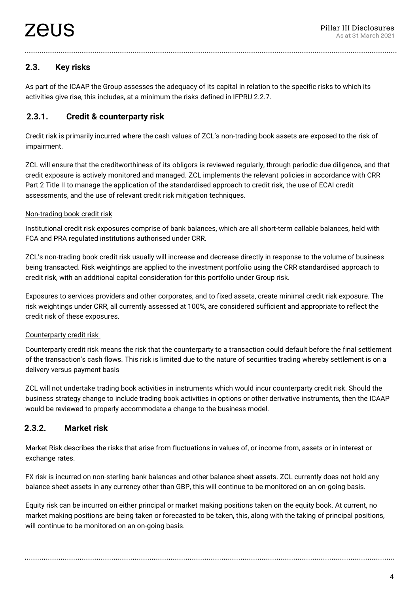# **2.3. Key risks**

As part of the ICAAP the Group assesses the adequacy of its capital in relation to the specific risks to which its activities give rise, this includes, at a minimum the risks defined in IFPRU 2.2.7.

# **2.3.1. Credit & counterparty risk**

Credit risk is primarily incurred where the cash values of ZCL's non-trading book assets are exposed to the risk of impairment.

ZCL will ensure that the creditworthiness of its obligors is reviewed regularly, through periodic due diligence, and that credit exposure is actively monitored and managed. ZCL implements the relevant policies in accordance with CRR Part 2 Title II to manage the application of the standardised approach to credit risk, the use of ECAI credit assessments, and the use of relevant credit risk mitigation techniques.

#### Non-trading book credit risk

Institutional credit risk exposures comprise of bank balances, which are all short-term callable balances, held with FCA and PRA regulated institutions authorised under CRR.

ZCL's non-trading book credit risk usually will increase and decrease directly in response to the volume of business being transacted. Risk weightings are applied to the investment portfolio using the CRR standardised approach to credit risk, with an additional capital consideration for this portfolio under Group risk.

Exposures to services providers and other corporates, and to fixed assets, create minimal credit risk exposure. The risk weightings under CRR, all currently assessed at 100%, are considered sufficient and appropriate to reflect the credit risk of these exposures.

#### Counterparty credit risk

Counterparty credit risk means the risk that the counterparty to a transaction could default before the final settlement of the transaction's cash flows. This risk is limited due to the nature of securities trading whereby settlement is on a delivery versus payment basis

ZCL will not undertake trading book activities in instruments which would incur counterparty credit risk. Should the business strategy change to include trading book activities in options or other derivative instruments, then the ICAAP would be reviewed to properly accommodate a change to the business model.

#### **2.3.2. Market risk**

Market Risk describes the risks that arise from fluctuations in values of, or income from, assets or in interest or exchange rates.

FX risk is incurred on non-sterling bank balances and other balance sheet assets. ZCL currently does not hold any balance sheet assets in any currency other than GBP, this will continue to be monitored on an on-going basis.

Equity risk can be incurred on either principal or market making positions taken on the equity book. At current, no market making positions are being taken or forecasted to be taken, this, along with the taking of principal positions, will continue to be monitored on an on-going basis.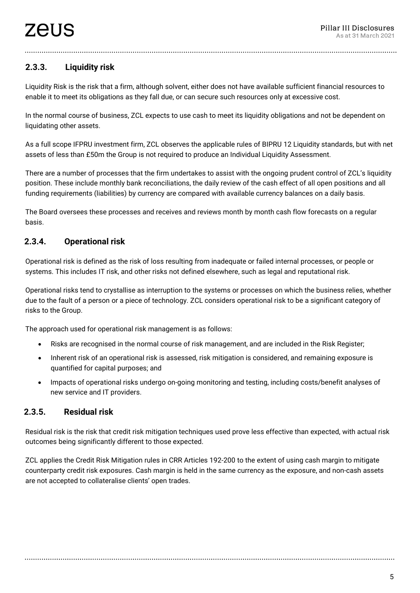# **2.3.3. Liquidity risk**

Liquidity Risk is the risk that a firm, although solvent, either does not have available sufficient financial resources to enable it to meet its obligations as they fall due, or can secure such resources only at excessive cost.

In the normal course of business, ZCL expects to use cash to meet its liquidity obligations and not be dependent on liquidating other assets.

As a full scope IFPRU investment firm, ZCL observes the applicable rules of BIPRU 12 Liquidity standards, but with net assets of less than £50m the Group is not required to produce an Individual Liquidity Assessment.

There are a number of processes that the firm undertakes to assist with the ongoing prudent control of ZCL's liquidity position. These include monthly bank reconciliations, the daily review of the cash effect of all open positions and all funding requirements (liabilities) by currency are compared with available currency balances on a daily basis.

The Board oversees these processes and receives and reviews month by month cash flow forecasts on a regular basis.

# **2.3.4. Operational risk**

Operational risk is defined as the risk of loss resulting from inadequate or failed internal processes, or people or systems. This includes IT risk, and other risks not defined elsewhere, such as legal and reputational risk.

Operational risks tend to crystallise as interruption to the systems or processes on which the business relies, whether due to the fault of a person or a piece of technology. ZCL considers operational risk to be a significant category of risks to the Group.

The approach used for operational risk management is as follows:

- Risks are recognised in the normal course of risk management, and are included in the Risk Register;
- Inherent risk of an operational risk is assessed, risk mitigation is considered, and remaining exposure is quantified for capital purposes; and
- Impacts of operational risks undergo on-going monitoring and testing, including costs/benefit analyses of new service and IT providers.

## **2.3.5. Residual risk**

Residual risk is the risk that credit risk mitigation techniques used prove less effective than expected, with actual risk outcomes being significantly different to those expected.

ZCL applies the Credit Risk Mitigation rules in CRR Articles 192-200 to the extent of using cash margin to mitigate counterparty credit risk exposures. Cash margin is held in the same currency as the exposure, and non-cash assets are not accepted to collateralise clients' open trades.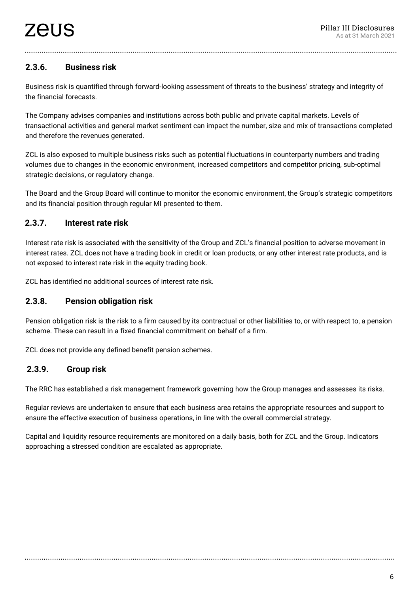# **2.3.6. Business risk**

Business risk is quantified through forward-looking assessment of threats to the business' strategy and integrity of the financial forecasts.

The Company advises companies and institutions across both public and private capital markets. Levels of transactional activities and general market sentiment can impact the number, size and mix of transactions completed and therefore the revenues generated.

ZCL is also exposed to multiple business risks such as potential fluctuations in counterparty numbers and trading volumes due to changes in the economic environment, increased competitors and competitor pricing, sub-optimal strategic decisions, or regulatory change.

The Board and the Group Board will continue to monitor the economic environment, the Group's strategic competitors and its financial position through regular MI presented to them.

#### **2.3.7. Interest rate risk**

Interest rate risk is associated with the sensitivity of the Group and ZCL's financial position to adverse movement in interest rates. ZCL does not have a trading book in credit or loan products, or any other interest rate products, and is not exposed to interest rate risk in the equity trading book.

ZCL has identified no additional sources of interest rate risk.

#### **2.3.8. Pension obligation risk**

Pension obligation risk is the risk to a firm caused by its contractual or other liabilities to, or with respect to, a pension scheme. These can result in a fixed financial commitment on behalf of a firm.

ZCL does not provide any defined benefit pension schemes.

#### **2.3.9. Group risk**

The RRC has established a risk management framework governing how the Group manages and assesses its risks.

Regular reviews are undertaken to ensure that each business area retains the appropriate resources and support to ensure the effective execution of business operations, in line with the overall commercial strategy.

Capital and liquidity resource requirements are monitored on a daily basis, both for ZCL and the Group. Indicators approaching a stressed condition are escalated as appropriate.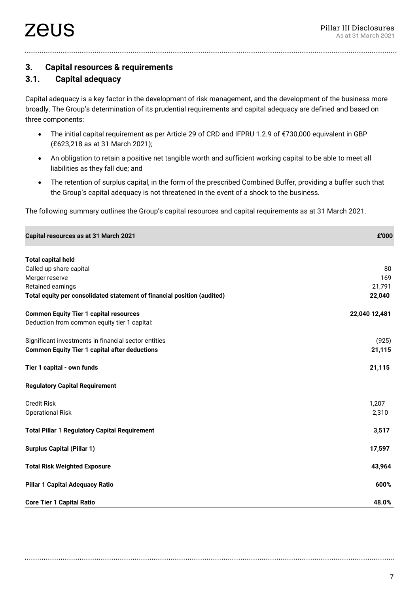**3. Capital resources & requirements** 

## **3.1. Capital adequacy**

Capital adequacy is a key factor in the development of risk management, and the development of the business more broadly. The Group's determination of its prudential requirements and capital adequacy are defined and based on three components:

- The initial capital requirement as per Article 29 of CRD and IFPRU 1.2.9 of €730,000 equivalent in GBP (£623,218 as at 31 March 2021);
- An obligation to retain a positive net tangible worth and sufficient working capital to be able to meet all liabilities as they fall due; and
- The retention of surplus capital, in the form of the prescribed Combined Buffer, providing a buffer such that the Group's capital adequacy is not threatened in the event of a shock to the business.

The following summary outlines the Group's capital resources and capital requirements as at 31 March 2021.

| Capital resources as at 31 March 2021 | <b>000°</b> |
|---------------------------------------|-------------|
|                                       |             |

| <b>Total capital held</b>                                               |               |
|-------------------------------------------------------------------------|---------------|
| Called up share capital                                                 | 80            |
| Merger reserve                                                          | 169           |
| Retained earnings                                                       | 21,791        |
| Total equity per consolidated statement of financial position (audited) | 22,040        |
| <b>Common Equity Tier 1 capital resources</b>                           | 22,040 12,481 |
| Deduction from common equity tier 1 capital:                            |               |
| Significant investments in financial sector entities                    | (925)         |
| <b>Common Equity Tier 1 capital after deductions</b>                    | 21,115        |
| Tier 1 capital - own funds                                              | 21,115        |
| <b>Regulatory Capital Requirement</b>                                   |               |
| <b>Credit Risk</b>                                                      | 1,207         |
| <b>Operational Risk</b>                                                 | 2,310         |
| <b>Total Pillar 1 Regulatory Capital Requirement</b>                    | 3,517         |
| <b>Surplus Capital (Pillar 1)</b>                                       | 17,597        |
| <b>Total Risk Weighted Exposure</b>                                     | 43,964        |
| <b>Pillar 1 Capital Adequacy Ratio</b>                                  | 600%          |
| <b>Core Tier 1 Capital Ratio</b>                                        | 48.0%         |